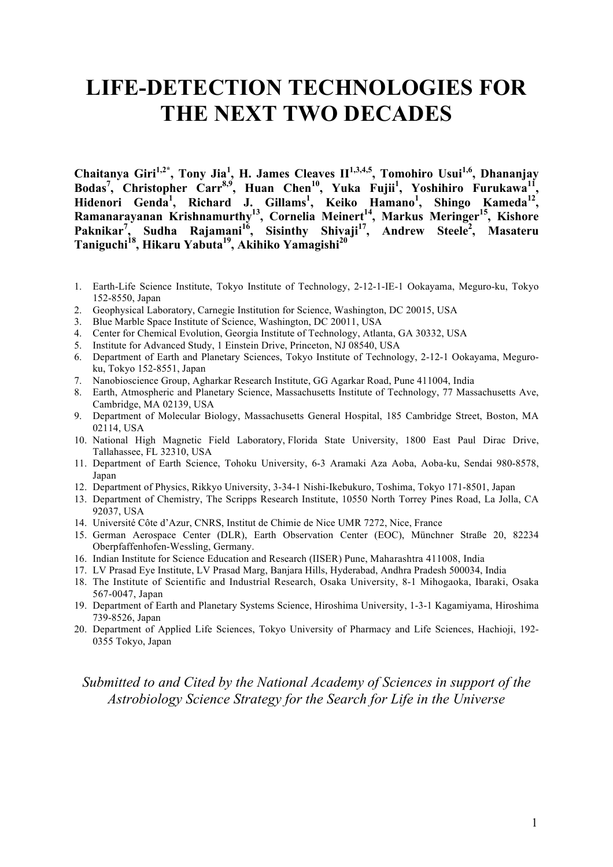# **LIFE-DETECTION TECHNOLOGIES FOR THE NEXT TWO DECADES**

**Chaitanya Giri1,2\*, Tony Jia<sup>1</sup> , H. James Cleaves II1,3,4,5, Tomohiro Usui1,6, Dhananjay Bodas<sup>7</sup> , Christopher Carr8,9, Huan Chen10, Yuka Fujii1 , Yoshihiro Furukawa11 , Hidenori Genda<sup>1</sup> , Richard J. Gillams<sup>1</sup> , Keiko Hamano1 , Shingo Kameda<sup>12</sup> , Ramanarayanan Krishnamurthy13 , Cornelia Meinert<sup>14</sup> , Markus Meringer<sup>15</sup> , Kishore Paknikar7 , Sudha Rajamani16 , Sisinthy Shivaji17 , Andrew Steele2 , Masateru Taniguchi18 , Hikaru Yabuta19, Akihiko Yamagishi20**

- 1. Earth-Life Science Institute, Tokyo Institute of Technology, 2-12-1-IE-1 Ookayama, Meguro-ku, Tokyo 152-8550, Japan
- 2. Geophysical Laboratory, Carnegie Institution for Science, Washington, DC 20015, USA
- 3. Blue Marble Space Institute of Science, Washington, DC 20011, USA
- 4. Center for Chemical Evolution, Georgia Institute of Technology, Atlanta, GA 30332, USA
- 5. Institute for Advanced Study, 1 Einstein Drive, Princeton, NJ 08540, USA
- 6. Department of Earth and Planetary Sciences, Tokyo Institute of Technology, 2-12-1 Ookayama, Meguroku, Tokyo 152-8551, Japan
- 7. Nanobioscience Group, Agharkar Research Institute, GG Agarkar Road, Pune 411004, India
- 8. Earth, Atmospheric and Planetary Science, Massachusetts Institute of Technology, 77 Massachusetts Ave, Cambridge, MA 02139, USA
- 9. Department of Molecular Biology, Massachusetts General Hospital, 185 Cambridge Street, Boston, MA 02114, USA
- 10. National High Magnetic Field Laboratory, Florida State University, 1800 East Paul Dirac Drive, Tallahassee, FL 32310, USA
- 11. Department of Earth Science, Tohoku University, 6-3 Aramaki Aza Aoba, Aoba-ku, Sendai 980-8578, Japan
- 12. Department of Physics, Rikkyo University, 3-34-1 Nishi-Ikebukuro, Toshima, Tokyo 171-8501, Japan
- 13. Department of Chemistry, The Scripps Research Institute, 10550 North Torrey Pines Road, La Jolla, CA 92037, USA
- 14. Université Côte d'Azur, CNRS, Institut de Chimie de Nice UMR 7272, Nice, France
- 15. German Aerospace Center (DLR), Earth Observation Center (EOC), Münchner Straße 20, 82234 Oberpfaffenhofen-Wessling, Germany.
- 16. Indian Institute for Science Education and Research (IISER) Pune, Maharashtra 411008, India
- 17. LV Prasad Eye Institute, LV Prasad Marg, Banjara Hills, Hyderabad, Andhra Pradesh 500034, India
- 18. The Institute of Scientific and Industrial Research, Osaka University, 8-1 Mihogaoka, Ibaraki, Osaka 567-0047, Japan
- 19. Department of Earth and Planetary Systems Science, Hiroshima University, 1-3-1 Kagamiyama, Hiroshima 739-8526, Japan
- 20. Department of Applied Life Sciences, Tokyo University of Pharmacy and Life Sciences, Hachioji, 192- 0355 Tokyo, Japan

# *Submitted to and Cited by the National Academy of Sciences in support of the Astrobiology Science Strategy for the Search for Life in the Universe*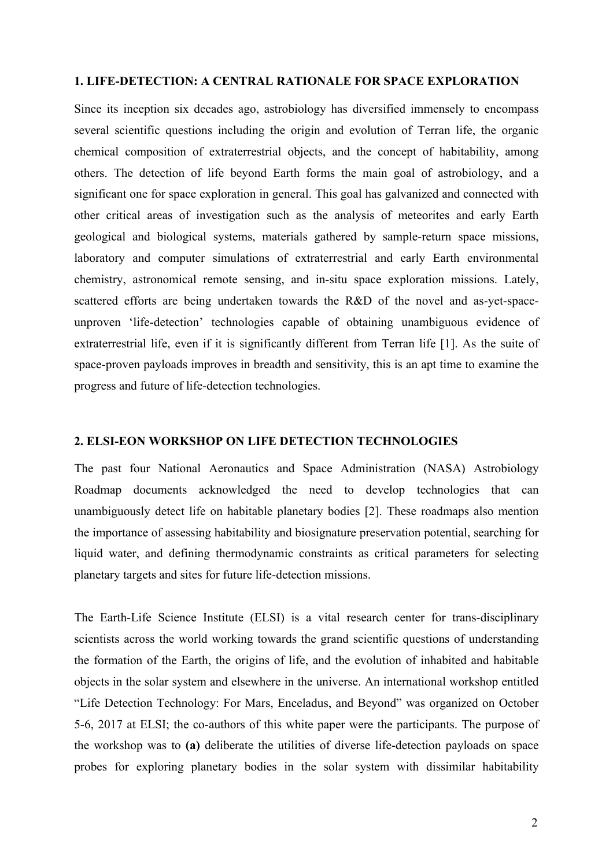#### **1. LIFE-DETECTION: A CENTRAL RATIONALE FOR SPACE EXPLORATION**

Since its inception six decades ago, astrobiology has diversified immensely to encompass several scientific questions including the origin and evolution of Terran life, the organic chemical composition of extraterrestrial objects, and the concept of habitability, among others. The detection of life beyond Earth forms the main goal of astrobiology, and a significant one for space exploration in general. This goal has galvanized and connected with other critical areas of investigation such as the analysis of meteorites and early Earth geological and biological systems, materials gathered by sample-return space missions, laboratory and computer simulations of extraterrestrial and early Earth environmental chemistry, astronomical remote sensing, and in-situ space exploration missions. Lately, scattered efforts are being undertaken towards the R&D of the novel and as-yet-spaceunproven 'life-detection' technologies capable of obtaining unambiguous evidence of extraterrestrial life, even if it is significantly different from Terran life [1]. As the suite of space-proven payloads improves in breadth and sensitivity, this is an apt time to examine the progress and future of life-detection technologies.

## **2. ELSI-EON WORKSHOP ON LIFE DETECTION TECHNOLOGIES**

The past four National Aeronautics and Space Administration (NASA) Astrobiology Roadmap documents acknowledged the need to develop technologies that can unambiguously detect life on habitable planetary bodies [2]. These roadmaps also mention the importance of assessing habitability and biosignature preservation potential, searching for liquid water, and defining thermodynamic constraints as critical parameters for selecting planetary targets and sites for future life-detection missions.

The Earth-Life Science Institute (ELSI) is a vital research center for trans-disciplinary scientists across the world working towards the grand scientific questions of understanding the formation of the Earth, the origins of life, and the evolution of inhabited and habitable objects in the solar system and elsewhere in the universe. An international workshop entitled "Life Detection Technology: For Mars, Enceladus, and Beyond" was organized on October 5-6, 2017 at ELSI; the co-authors of this white paper were the participants. The purpose of the workshop was to **(a)** deliberate the utilities of diverse life-detection payloads on space probes for exploring planetary bodies in the solar system with dissimilar habitability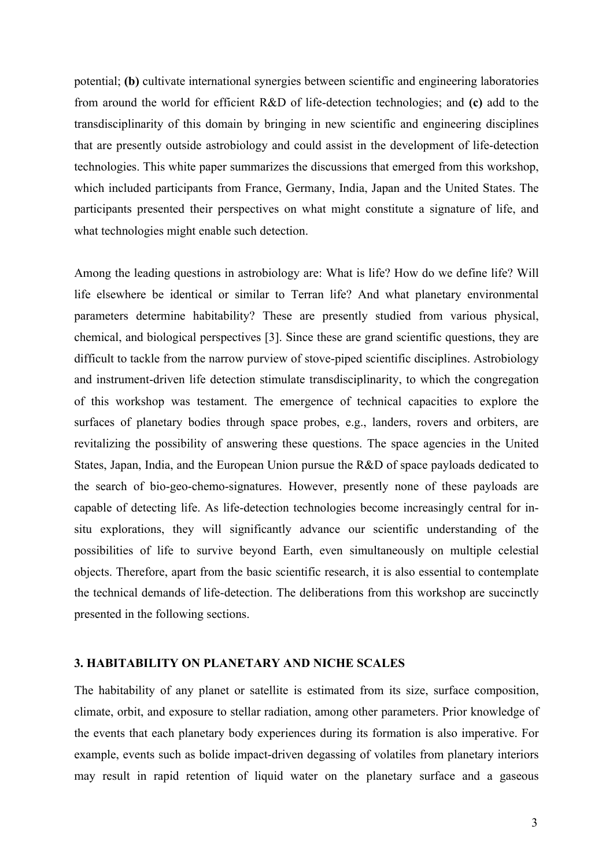potential; **(b)** cultivate international synergies between scientific and engineering laboratories from around the world for efficient R&D of life-detection technologies; and **(c)** add to the transdisciplinarity of this domain by bringing in new scientific and engineering disciplines that are presently outside astrobiology and could assist in the development of life-detection technologies. This white paper summarizes the discussions that emerged from this workshop, which included participants from France, Germany, India, Japan and the United States. The participants presented their perspectives on what might constitute a signature of life, and what technologies might enable such detection.

Among the leading questions in astrobiology are: What is life? How do we define life? Will life elsewhere be identical or similar to Terran life? And what planetary environmental parameters determine habitability? These are presently studied from various physical, chemical, and biological perspectives [3]. Since these are grand scientific questions, they are difficult to tackle from the narrow purview of stove-piped scientific disciplines. Astrobiology and instrument-driven life detection stimulate transdisciplinarity, to which the congregation of this workshop was testament. The emergence of technical capacities to explore the surfaces of planetary bodies through space probes, e.g., landers, rovers and orbiters, are revitalizing the possibility of answering these questions. The space agencies in the United States, Japan, India, and the European Union pursue the R&D of space payloads dedicated to the search of bio-geo-chemo-signatures. However, presently none of these payloads are capable of detecting life. As life-detection technologies become increasingly central for insitu explorations, they will significantly advance our scientific understanding of the possibilities of life to survive beyond Earth, even simultaneously on multiple celestial objects. Therefore, apart from the basic scientific research, it is also essential to contemplate the technical demands of life-detection. The deliberations from this workshop are succinctly presented in the following sections.

# **3. HABITABILITY ON PLANETARY AND NICHE SCALES**

The habitability of any planet or satellite is estimated from its size, surface composition, climate, orbit, and exposure to stellar radiation, among other parameters. Prior knowledge of the events that each planetary body experiences during its formation is also imperative. For example, events such as bolide impact-driven degassing of volatiles from planetary interiors may result in rapid retention of liquid water on the planetary surface and a gaseous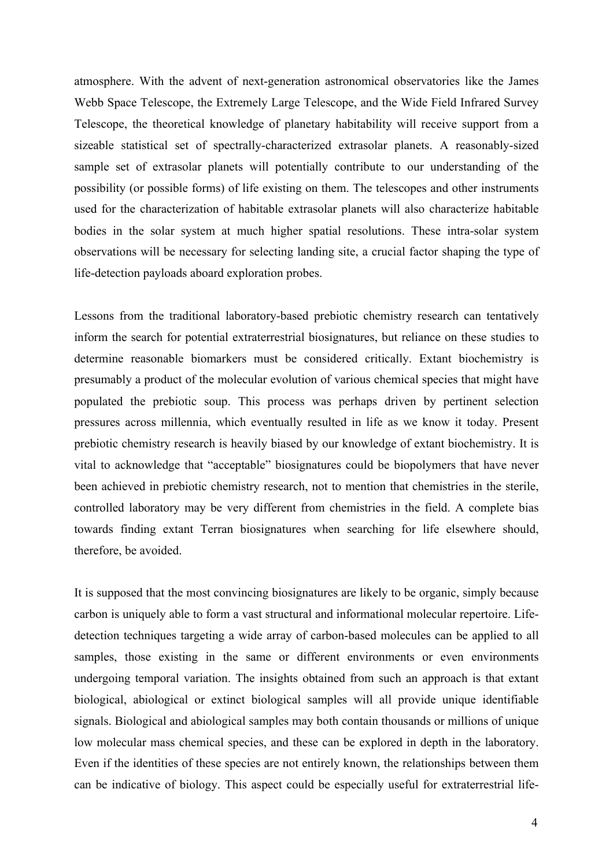atmosphere. With the advent of next-generation astronomical observatories like the James Webb Space Telescope, the Extremely Large Telescope, and the Wide Field Infrared Survey Telescope, the theoretical knowledge of planetary habitability will receive support from a sizeable statistical set of spectrally-characterized extrasolar planets. A reasonably-sized sample set of extrasolar planets will potentially contribute to our understanding of the possibility (or possible forms) of life existing on them. The telescopes and other instruments used for the characterization of habitable extrasolar planets will also characterize habitable bodies in the solar system at much higher spatial resolutions. These intra-solar system observations will be necessary for selecting landing site, a crucial factor shaping the type of life-detection payloads aboard exploration probes.

Lessons from the traditional laboratory-based prebiotic chemistry research can tentatively inform the search for potential extraterrestrial biosignatures, but reliance on these studies to determine reasonable biomarkers must be considered critically. Extant biochemistry is presumably a product of the molecular evolution of various chemical species that might have populated the prebiotic soup. This process was perhaps driven by pertinent selection pressures across millennia, which eventually resulted in life as we know it today. Present prebiotic chemistry research is heavily biased by our knowledge of extant biochemistry. It is vital to acknowledge that "acceptable" biosignatures could be biopolymers that have never been achieved in prebiotic chemistry research, not to mention that chemistries in the sterile, controlled laboratory may be very different from chemistries in the field. A complete bias towards finding extant Terran biosignatures when searching for life elsewhere should, therefore, be avoided.

It is supposed that the most convincing biosignatures are likely to be organic, simply because carbon is uniquely able to form a vast structural and informational molecular repertoire. Lifedetection techniques targeting a wide array of carbon-based molecules can be applied to all samples, those existing in the same or different environments or even environments undergoing temporal variation. The insights obtained from such an approach is that extant biological, abiological or extinct biological samples will all provide unique identifiable signals. Biological and abiological samples may both contain thousands or millions of unique low molecular mass chemical species, and these can be explored in depth in the laboratory. Even if the identities of these species are not entirely known, the relationships between them can be indicative of biology. This aspect could be especially useful for extraterrestrial life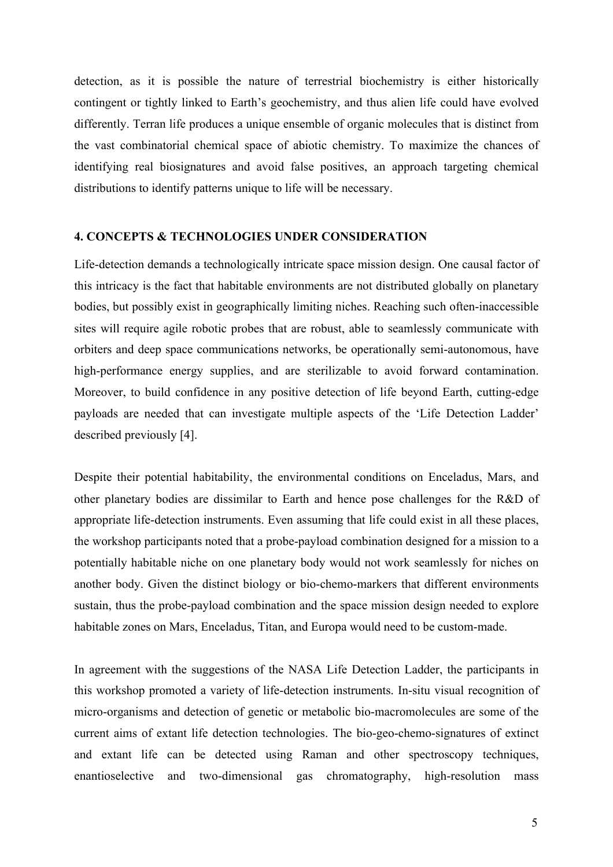detection, as it is possible the nature of terrestrial biochemistry is either historically contingent or tightly linked to Earth's geochemistry, and thus alien life could have evolved differently. Terran life produces a unique ensemble of organic molecules that is distinct from the vast combinatorial chemical space of abiotic chemistry. To maximize the chances of identifying real biosignatures and avoid false positives, an approach targeting chemical distributions to identify patterns unique to life will be necessary.

## **4. CONCEPTS & TECHNOLOGIES UNDER CONSIDERATION**

Life-detection demands a technologically intricate space mission design. One causal factor of this intricacy is the fact that habitable environments are not distributed globally on planetary bodies, but possibly exist in geographically limiting niches. Reaching such often-inaccessible sites will require agile robotic probes that are robust, able to seamlessly communicate with orbiters and deep space communications networks, be operationally semi-autonomous, have high-performance energy supplies, and are sterilizable to avoid forward contamination. Moreover, to build confidence in any positive detection of life beyond Earth, cutting-edge payloads are needed that can investigate multiple aspects of the 'Life Detection Ladder' described previously [4].

Despite their potential habitability, the environmental conditions on Enceladus, Mars, and other planetary bodies are dissimilar to Earth and hence pose challenges for the R&D of appropriate life-detection instruments. Even assuming that life could exist in all these places, the workshop participants noted that a probe-payload combination designed for a mission to a potentially habitable niche on one planetary body would not work seamlessly for niches on another body. Given the distinct biology or bio-chemo-markers that different environments sustain, thus the probe-payload combination and the space mission design needed to explore habitable zones on Mars, Enceladus, Titan, and Europa would need to be custom-made.

In agreement with the suggestions of the NASA Life Detection Ladder, the participants in this workshop promoted a variety of life-detection instruments. In-situ visual recognition of micro-organisms and detection of genetic or metabolic bio-macromolecules are some of the current aims of extant life detection technologies. The bio-geo-chemo-signatures of extinct and extant life can be detected using Raman and other spectroscopy techniques, enantioselective and two-dimensional gas chromatography, high-resolution mass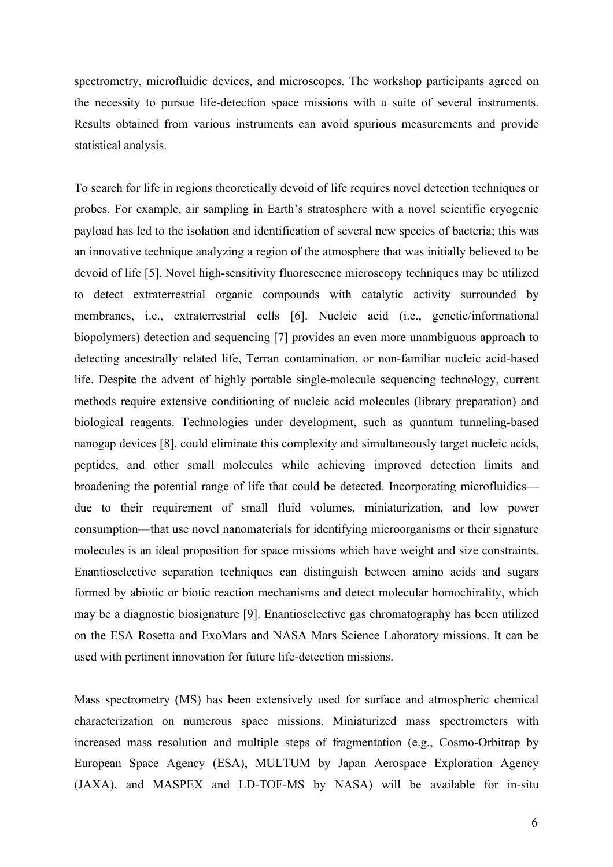spectrometry, microfluidic devices, and microscopes. The workshop participants agreed on the necessity to pursue life-detection space missions with a suite of several instruments. Results obtained from various instruments can avoid spurious measurements and provide statistical analysis.

To search for life in regions theoretically devoid of life requires novel detection techniques or probes. For example, air sampling in Earth's stratosphere with a novel scientific cryogenic payload has led to the isolation and identification of several new species of bacteria; this was an innovative technique analyzing a region of the atmosphere that was initially believed to be devoid of life [5]. Novel high-sensitivity fluorescence microscopy techniques may be utilized to detect extraterrestrial organic compounds with catalytic activity surrounded by membranes, i.e., extraterrestrial cells [6]. Nucleic acid (i.e., genetic/informational biopolymers) detection and sequencing [7] provides an even more unambiguous approach to detecting ancestrally related life, Terran contamination, or non-familiar nucleic acid-based life. Despite the advent of highly portable single-molecule sequencing technology, current methods require extensive conditioning of nucleic acid molecules (library preparation) and biological reagents. Technologies under development, such as quantum tunneling-based nanogap devices [8], could eliminate this complexity and simultaneously target nucleic acids, peptides, and other small molecules while achieving improved detection limits and broadening the potential range of life that could be detected. Incorporating microfluidics due to their requirement of small fluid volumes, miniaturization, and low power consumption—that use novel nanomaterials for identifying microorganisms or their signature molecules is an ideal proposition for space missions which have weight and size constraints. Enantioselective separation techniques can distinguish between amino acids and sugars formed by abiotic or biotic reaction mechanisms and detect molecular homochirality, which may be a diagnostic biosignature [9]. Enantioselective gas chromatography has been utilized on the ESA Rosetta and ExoMars and NASA Mars Science Laboratory missions. It can be used with pertinent innovation for future life-detection missions.

Mass spectrometry (MS) has been extensively used for surface and atmospheric chemical characterization on numerous space missions. Miniaturized mass spectrometers with increased mass resolution and multiple steps of fragmentation (e.g., Cosmo-Orbitrap by European Space Agency (ESA), MULTUM by Japan Aerospace Exploration Agency (JAXA), and MASPEX and LD-TOF-MS by NASA) will be available for in-situ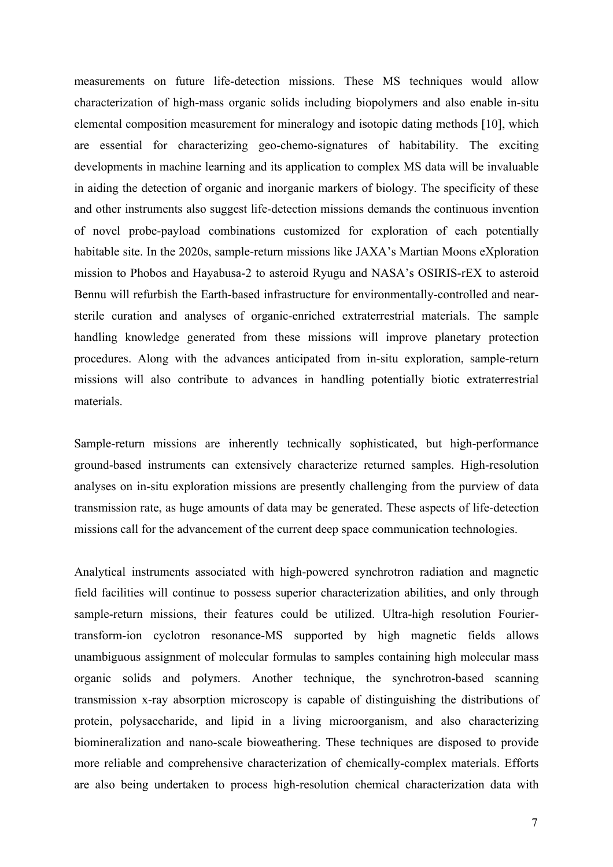measurements on future life-detection missions. These MS techniques would allow characterization of high-mass organic solids including biopolymers and also enable in-situ elemental composition measurement for mineralogy and isotopic dating methods [10], which are essential for characterizing geo-chemo-signatures of habitability. The exciting developments in machine learning and its application to complex MS data will be invaluable in aiding the detection of organic and inorganic markers of biology. The specificity of these and other instruments also suggest life-detection missions demands the continuous invention of novel probe-payload combinations customized for exploration of each potentially habitable site. In the 2020s, sample-return missions like JAXA's Martian Moons eXploration mission to Phobos and Hayabusa-2 to asteroid Ryugu and NASA's OSIRIS-rEX to asteroid Bennu will refurbish the Earth-based infrastructure for environmentally-controlled and nearsterile curation and analyses of organic-enriched extraterrestrial materials. The sample handling knowledge generated from these missions will improve planetary protection procedures. Along with the advances anticipated from in-situ exploration, sample-return missions will also contribute to advances in handling potentially biotic extraterrestrial materials.

Sample-return missions are inherently technically sophisticated, but high-performance ground-based instruments can extensively characterize returned samples. High-resolution analyses on in-situ exploration missions are presently challenging from the purview of data transmission rate, as huge amounts of data may be generated. These aspects of life-detection missions call for the advancement of the current deep space communication technologies.

Analytical instruments associated with high-powered synchrotron radiation and magnetic field facilities will continue to possess superior characterization abilities, and only through sample-return missions, their features could be utilized. Ultra-high resolution Fouriertransform-ion cyclotron resonance-MS supported by high magnetic fields allows unambiguous assignment of molecular formulas to samples containing high molecular mass organic solids and polymers. Another technique, the synchrotron-based scanning transmission x-ray absorption microscopy is capable of distinguishing the distributions of protein, polysaccharide, and lipid in a living microorganism, and also characterizing biomineralization and nano-scale bioweathering. These techniques are disposed to provide more reliable and comprehensive characterization of chemically-complex materials. Efforts are also being undertaken to process high-resolution chemical characterization data with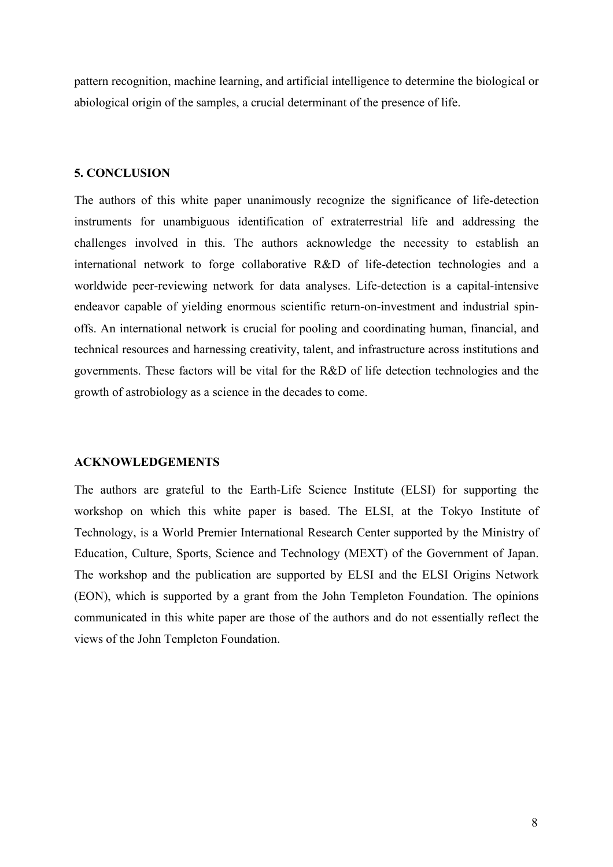pattern recognition, machine learning, and artificial intelligence to determine the biological or abiological origin of the samples, a crucial determinant of the presence of life.

#### **5. CONCLUSION**

The authors of this white paper unanimously recognize the significance of life-detection instruments for unambiguous identification of extraterrestrial life and addressing the challenges involved in this. The authors acknowledge the necessity to establish an international network to forge collaborative R&D of life-detection technologies and a worldwide peer-reviewing network for data analyses. Life-detection is a capital-intensive endeavor capable of yielding enormous scientific return-on-investment and industrial spinoffs. An international network is crucial for pooling and coordinating human, financial, and technical resources and harnessing creativity, talent, and infrastructure across institutions and governments. These factors will be vital for the R&D of life detection technologies and the growth of astrobiology as a science in the decades to come.

#### **ACKNOWLEDGEMENTS**

The authors are grateful to the Earth-Life Science Institute (ELSI) for supporting the workshop on which this white paper is based. The ELSI, at the Tokyo Institute of Technology, is a World Premier International Research Center supported by the Ministry of Education, Culture, Sports, Science and Technology (MEXT) of the Government of Japan. The workshop and the publication are supported by ELSI and the ELSI Origins Network (EON), which is supported by a grant from the John Templeton Foundation. The opinions communicated in this white paper are those of the authors and do not essentially reflect the views of the John Templeton Foundation.